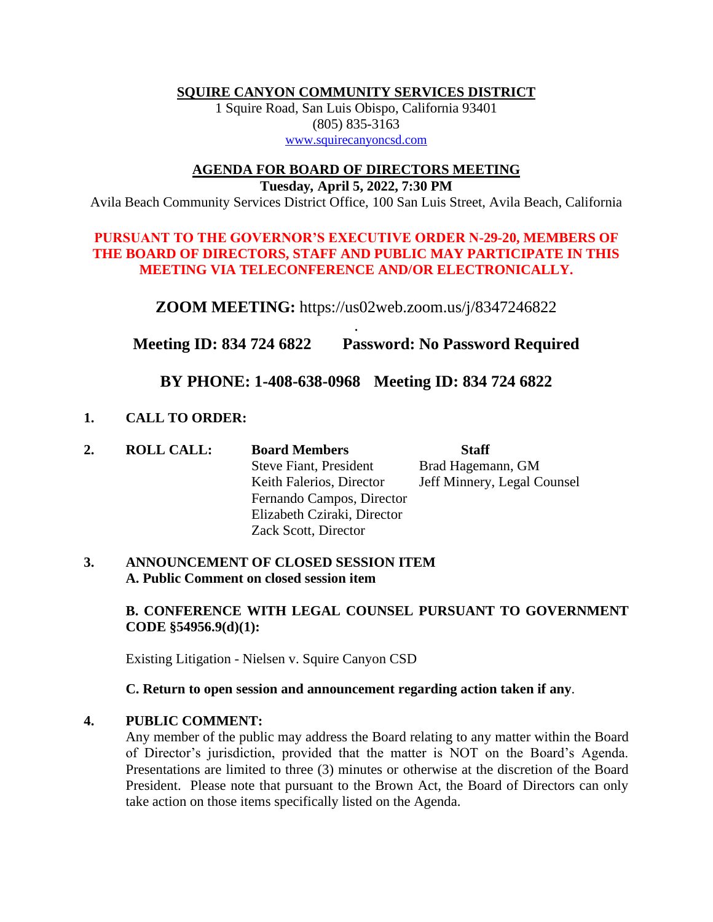**SQUIRE CANYON COMMUNITY SERVICES DISTRICT**

1 Squire Road, San Luis Obispo, California 93401 (805) 835-3163 [www.squirecanyoncsd.com](http://www.squirecanyoncsd.com/)

#### **AGENDA FOR BOARD OF DIRECTORS MEETING**

**Tuesday***,* **April 5, 2022, 7:30 PM** Avila Beach Community Services District Office, 100 San Luis Street, Avila Beach, California

#### **PURSUANT TO THE GOVERNOR'S EXECUTIVE ORDER N-29-20, MEMBERS OF THE BOARD OF DIRECTORS, STAFF AND PUBLIC MAY PARTICIPATE IN THIS MEETING VIA TELECONFERENCE AND/OR ELECTRONICALLY.**

**ZOOM MEETING:** https://us02web.zoom.us/j/8347246822

. **Meeting ID: 834 724 6822 Password: No Password Required**

# **BY PHONE: 1-408-638-0968 Meeting ID: 834 724 6822**

### **1. CALL TO ORDER:**

**2. ROLL CALL: Board Members Staff** Steve Fiant, President Brad Hagemann, GM Keith Falerios, Director Jeff Minnery, Legal Counsel Fernando Campos, Director Elizabeth Cziraki, Director Zack Scott, Director

#### **3. ANNOUNCEMENT OF CLOSED SESSION ITEM A. Public Comment on closed session item**

### **B. CONFERENCE WITH LEGAL COUNSEL PURSUANT TO GOVERNMENT CODE §54956.9(d)(1):**

Existing Litigation - Nielsen v. Squire Canyon CSD

### **C. Return to open session and announcement regarding action taken if any**.

### **4. PUBLIC COMMENT:**

Any member of the public may address the Board relating to any matter within the Board of Director's jurisdiction, provided that the matter is NOT on the Board's Agenda. Presentations are limited to three (3) minutes or otherwise at the discretion of the Board President. Please note that pursuant to the Brown Act, the Board of Directors can only take action on those items specifically listed on the Agenda.